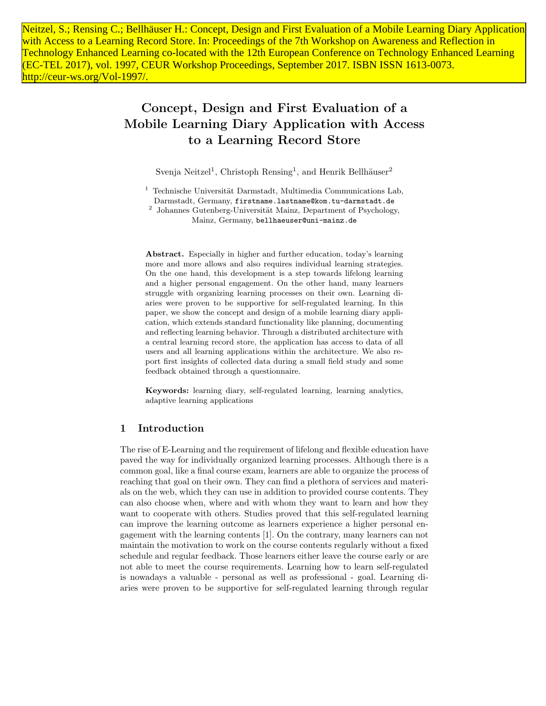Neitzel, S.; Rensing C.; Bellhäuser H.: Concept, Design and First Evaluation of a Mobile Learning Diary Application with Access to a Learning Record Store. In: Proceedings of the 7th Workshop on Awareness and Reflection in Technology Enhanced Learning co-located with the 12th European Conference on Technology Enhanced Learning (EC-TEL 2017), vol. 1997, CEUR Workshop Proceedings, September 2017. ISBN ISSN 1613-0073. http://ceur-ws.org/Vol-1997/.

# Concept, Design and First Evaluation of a Mobile Learning Diary Application with Access to a Learning Record Store

Svenja Neitzel<sup>1</sup>, Christoph Rensing<sup>1</sup>, and Henrik Bellhäuser<sup>2</sup>

 $1$  Technische Universität Darmstadt, Multimedia Communications Lab, Darmstadt, Germany, firstname.lastname@kom.tu-darmstadt.de

<sup>2</sup> Johannes Gutenberg-Universität Mainz, Department of Psychology, Mainz, Germany, bellhaeuser@uni-mainz.de

Abstract. Especially in higher and further education, today's learning more and more allows and also requires individual learning strategies. On the one hand, this development is a step towards lifelong learning and a higher personal engagement. On the other hand, many learners struggle with organizing learning processes on their own. Learning diaries were proven to be supportive for self-regulated learning. In this paper, we show the concept and design of a mobile learning diary application, which extends standard functionality like planning, documenting and reflecting learning behavior. Through a distributed architecture with a central learning record store, the application has access to data of all users and all learning applications within the architecture. We also report first insights of collected data during a small field study and some feedback obtained through a questionnaire.

Keywords: learning diary, self-regulated learning, learning analytics, adaptive learning applications

# 1 Introduction

The rise of E-Learning and the requirement of lifelong and flexible education have paved the way for individually organized learning processes. Although there is a common goal, like a final course exam, learners are able to organize the process of reaching that goal on their own. They can find a plethora of services and materials on the web, which they can use in addition to provided course contents. They can also choose when, where and with whom they want to learn and how they want to cooperate with others. Studies proved that this self-regulated learning can improve the learning outcome as learners experience a higher personal engagement with the learning contents [1]. On the contrary, many learners can not maintain the motivation to work on the course contents regularly without a fixed schedule and regular feedback. Those learners either leave the course early or are not able to meet the course requirements. Learning how to learn self-regulated is nowadays a valuable - personal as well as professional - goal. Learning diaries were proven to be supportive for self-regulated learning through regular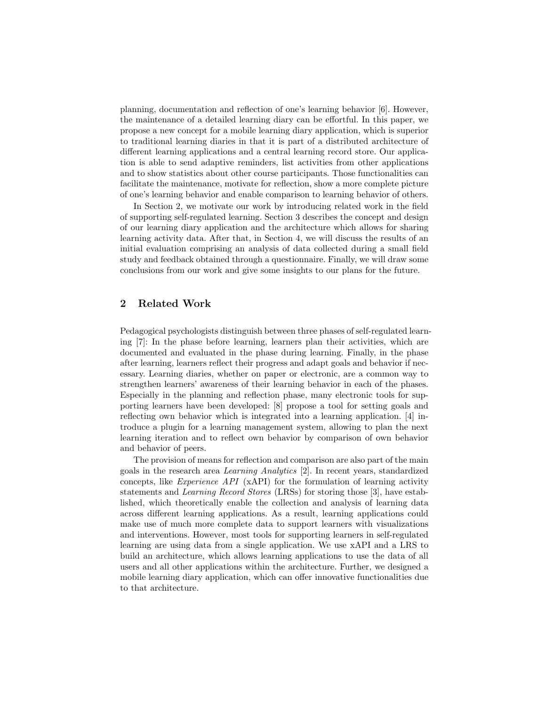planning, documentation and reflection of one's learning behavior [6]. However, the maintenance of a detailed learning diary can be effortful. In this paper, we propose a new concept for a mobile learning diary application, which is superior to traditional learning diaries in that it is part of a distributed architecture of different learning applications and a central learning record store. Our application is able to send adaptive reminders, list activities from other applications and to show statistics about other course participants. Those functionalities can facilitate the maintenance, motivate for reflection, show a more complete picture of one's learning behavior and enable comparison to learning behavior of others.

In Section 2, we motivate our work by introducing related work in the field of supporting self-regulated learning. Section 3 describes the concept and design of our learning diary application and the architecture which allows for sharing learning activity data. After that, in Section 4, we will discuss the results of an initial evaluation comprising an analysis of data collected during a small field study and feedback obtained through a questionnaire. Finally, we will draw some conclusions from our work and give some insights to our plans for the future.

# 2 Related Work

Pedagogical psychologists distinguish between three phases of self-regulated learning [7]: In the phase before learning, learners plan their activities, which are documented and evaluated in the phase during learning. Finally, in the phase after learning, learners reflect their progress and adapt goals and behavior if necessary. Learning diaries, whether on paper or electronic, are a common way to strengthen learners' awareness of their learning behavior in each of the phases. Especially in the planning and reflection phase, many electronic tools for supporting learners have been developed: [8] propose a tool for setting goals and reflecting own behavior which is integrated into a learning application. [4] introduce a plugin for a learning management system, allowing to plan the next learning iteration and to reflect own behavior by comparison of own behavior and behavior of peers.

The provision of means for reflection and comparison are also part of the main goals in the research area Learning Analytics [2]. In recent years, standardized concepts, like Experience API (xAPI) for the formulation of learning activity statements and Learning Record Stores (LRSs) for storing those [3], have established, which theoretically enable the collection and analysis of learning data across different learning applications. As a result, learning applications could make use of much more complete data to support learners with visualizations and interventions. However, most tools for supporting learners in self-regulated learning are using data from a single application. We use xAPI and a LRS to build an architecture, which allows learning applications to use the data of all users and all other applications within the architecture. Further, we designed a mobile learning diary application, which can offer innovative functionalities due to that architecture.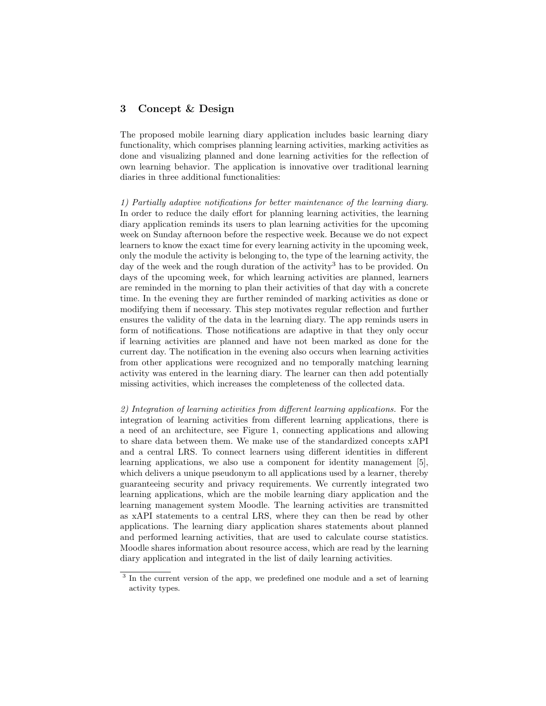## 3 Concept & Design

The proposed mobile learning diary application includes basic learning diary functionality, which comprises planning learning activities, marking activities as done and visualizing planned and done learning activities for the reflection of own learning behavior. The application is innovative over traditional learning diaries in three additional functionalities:

1) Partially adaptive notifications for better maintenance of the learning diary. In order to reduce the daily effort for planning learning activities, the learning diary application reminds its users to plan learning activities for the upcoming week on Sunday afternoon before the respective week. Because we do not expect learners to know the exact time for every learning activity in the upcoming week, only the module the activity is belonging to, the type of the learning activity, the day of the week and the rough duration of the activity<sup>3</sup> has to be provided. On days of the upcoming week, for which learning activities are planned, learners are reminded in the morning to plan their activities of that day with a concrete time. In the evening they are further reminded of marking activities as done or modifying them if necessary. This step motivates regular reflection and further ensures the validity of the data in the learning diary. The app reminds users in form of notifications. Those notifications are adaptive in that they only occur if learning activities are planned and have not been marked as done for the current day. The notification in the evening also occurs when learning activities from other applications were recognized and no temporally matching learning activity was entered in the learning diary. The learner can then add potentially missing activities, which increases the completeness of the collected data.

2) Integration of learning activities from different learning applications. For the integration of learning activities from different learning applications, there is a need of an architecture, see Figure 1, connecting applications and allowing to share data between them. We make use of the standardized concepts xAPI and a central LRS. To connect learners using different identities in different learning applications, we also use a component for identity management [5], which delivers a unique pseudonym to all applications used by a learner, thereby guaranteeing security and privacy requirements. We currently integrated two learning applications, which are the mobile learning diary application and the learning management system Moodle. The learning activities are transmitted as xAPI statements to a central LRS, where they can then be read by other applications. The learning diary application shares statements about planned and performed learning activities, that are used to calculate course statistics. Moodle shares information about resource access, which are read by the learning diary application and integrated in the list of daily learning activities.

<sup>&</sup>lt;sup>3</sup> In the current version of the app, we predefined one module and a set of learning activity types.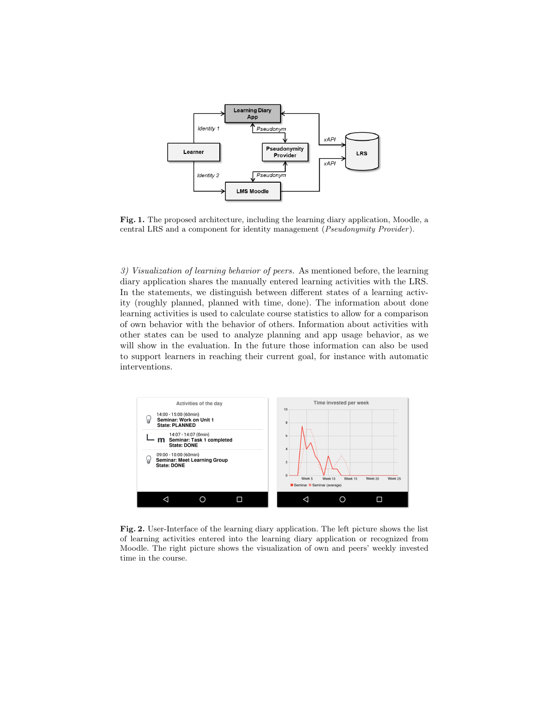

Fig. 1. The proposed architecture, including the learning diary application, Moodle, a central LRS and a component for identity management (Pseudonymity Provider ).

3) Visualization of learning behavior of peers. As mentioned before, the learning diary application shares the manually entered learning activities with the LRS. In the statements, we distinguish between different states of a learning activity (roughly planned, planned with time, done). The information about done learning activities is used to calculate course statistics to allow for a comparison of own behavior with the behavior of others. Information about activities with other states can be used to analyze planning and app usage behavior, as we will show in the evaluation. In the future those information can also be used to support learners in reaching their current goal, for instance with automatic interventions.



Fig. 2. User-Interface of the learning diary application. The left picture shows the list of learning activities entered into the learning diary application or recognized from Moodle. The right picture shows the visualization of own and peers' weekly invested time in the course.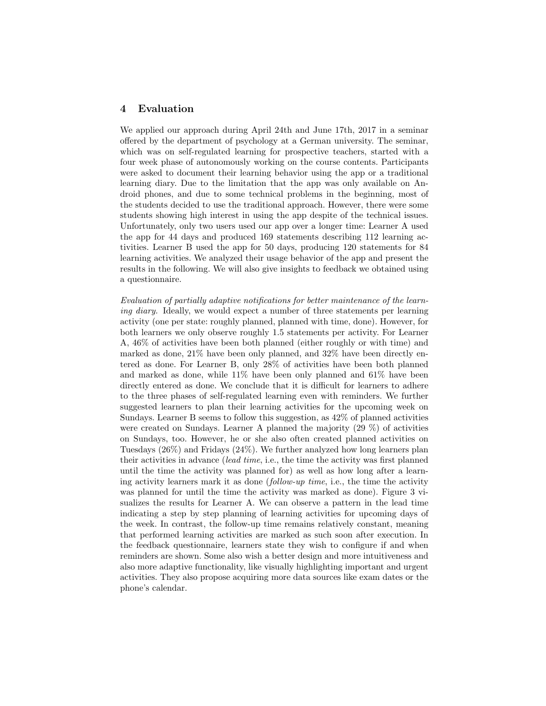#### 4 Evaluation

We applied our approach during April 24th and June 17th, 2017 in a seminar offered by the department of psychology at a German university. The seminar, which was on self-regulated learning for prospective teachers, started with a four week phase of autonomously working on the course contents. Participants were asked to document their learning behavior using the app or a traditional learning diary. Due to the limitation that the app was only available on Android phones, and due to some technical problems in the beginning, most of the students decided to use the traditional approach. However, there were some students showing high interest in using the app despite of the technical issues. Unfortunately, only two users used our app over a longer time: Learner A used the app for 44 days and produced 169 statements describing 112 learning activities. Learner B used the app for 50 days, producing 120 statements for 84 learning activities. We analyzed their usage behavior of the app and present the results in the following. We will also give insights to feedback we obtained using a questionnaire.

Evaluation of partially adaptive notifications for better maintenance of the learning diary. Ideally, we would expect a number of three statements per learning activity (one per state: roughly planned, planned with time, done). However, for both learners we only observe roughly 1.5 statements per activity. For Learner A, 46% of activities have been both planned (either roughly or with time) and marked as done, 21% have been only planned, and 32% have been directly entered as done. For Learner B, only 28% of activities have been both planned and marked as done, while 11% have been only planned and 61% have been directly entered as done. We conclude that it is difficult for learners to adhere to the three phases of self-regulated learning even with reminders. We further suggested learners to plan their learning activities for the upcoming week on Sundays. Learner B seems to follow this suggestion, as 42% of planned activities were created on Sundays. Learner A planned the majority (29 %) of activities on Sundays, too. However, he or she also often created planned activities on Tuesdays (26%) and Fridays (24%). We further analyzed how long learners plan their activities in advance (lead time, i.e., the time the activity was first planned until the time the activity was planned for) as well as how long after a learning activity learners mark it as done (follow-up time, i.e., the time the activity was planned for until the time the activity was marked as done). Figure 3 visualizes the results for Learner A. We can observe a pattern in the lead time indicating a step by step planning of learning activities for upcoming days of the week. In contrast, the follow-up time remains relatively constant, meaning that performed learning activities are marked as such soon after execution. In the feedback questionnaire, learners state they wish to configure if and when reminders are shown. Some also wish a better design and more intuitiveness and also more adaptive functionality, like visually highlighting important and urgent activities. They also propose acquiring more data sources like exam dates or the phone's calendar.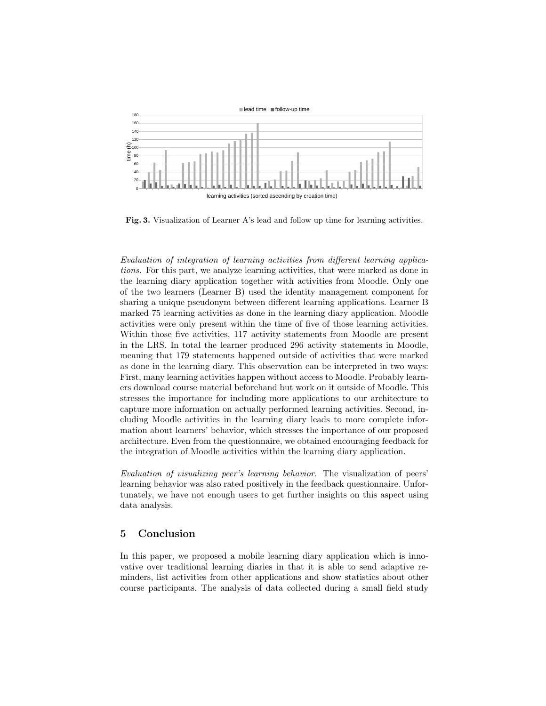

Fig. 3. Visualization of Learner A's lead and follow up time for learning activities.

Evaluation of integration of learning activities from different learning applications. For this part, we analyze learning activities, that were marked as done in the learning diary application together with activities from Moodle. Only one of the two learners (Learner B) used the identity management component for sharing a unique pseudonym between different learning applications. Learner B marked 75 learning activities as done in the learning diary application. Moodle activities were only present within the time of five of those learning activities. Within those five activities, 117 activity statements from Moodle are present in the LRS. In total the learner produced 296 activity statements in Moodle, meaning that 179 statements happened outside of activities that were marked as done in the learning diary. This observation can be interpreted in two ways: First, many learning activities happen without access to Moodle. Probably learners download course material beforehand but work on it outside of Moodle. This stresses the importance for including more applications to our architecture to capture more information on actually performed learning activities. Second, including Moodle activities in the learning diary leads to more complete information about learners' behavior, which stresses the importance of our proposed architecture. Even from the questionnaire, we obtained encouraging feedback for the integration of Moodle activities within the learning diary application.

Evaluation of visualizing peer's learning behavior. The visualization of peers' learning behavior was also rated positively in the feedback questionnaire. Unfortunately, we have not enough users to get further insights on this aspect using data analysis.

#### 5 Conclusion

In this paper, we proposed a mobile learning diary application which is innovative over traditional learning diaries in that it is able to send adaptive reminders, list activities from other applications and show statistics about other course participants. The analysis of data collected during a small field study